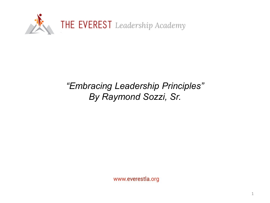

### *"Embracing Leadership Principles" By Raymond Sozzi, Sr.*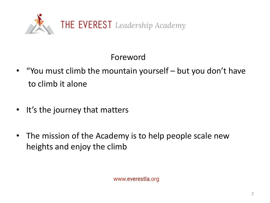

Foreword

- "You must climb the mountain yourself but you don't have to climb it alone
- It's the journey that matters
- The mission of the Academy is to help people scale new heights and enjoy the climb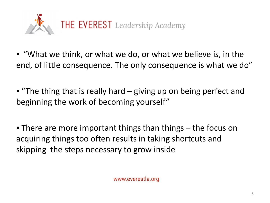

- "What we think, or what we do, or what we believe is, in the end, of little consequence. The only consequence is what we do"
- "The thing that is really hard giving up on being perfect and beginning the work of becoming yourself"

**• There are more important things than things – the focus on** acquiring things too often results in taking shortcuts and skipping the steps necessary to grow inside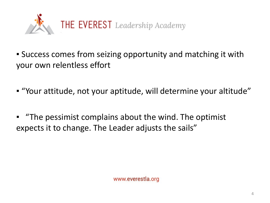

- Success comes from seizing opportunity and matching it with your own relentless effort
- "Your attitude, not your aptitude, will determine your altitude"
- "The pessimist complains about the wind. The optimist expects it to change. The Leader adjusts the sails"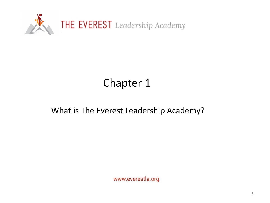

## Chapter 1

#### What is The Everest Leadership Academy?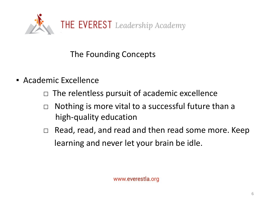

- Academic Excellence
	- $\Box$  The relentless pursuit of academic excellence
	- $\Box$  Nothing is more vital to a successful future than a high-quality education
	- □ Read, read, and read and then read some more. Keep learning and never let your brain be idle.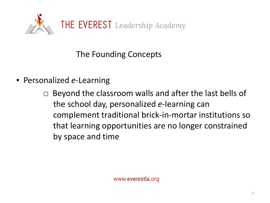

- Personalized *e*-Learning
	- $\Box$  Beyond the classroom walls and after the last bells of the school day, personalized *e*-learning can complement traditional brick-in-mortar institutions so that learning opportunities are no longer constrained by space and time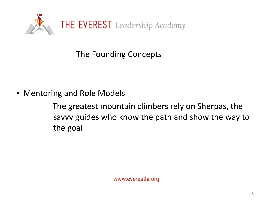

- **Mentoring and Role Models** 
	- $\Box$  The greatest mountain climbers rely on Sherpas, the savvy guides who know the path and show the way to the goal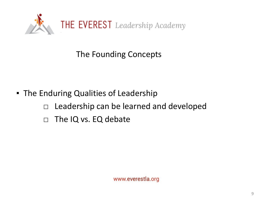

- **The Enduring Qualities of Leadership** 
	- □ Leadership can be learned and developed
	- $\Box$  The IQ vs. EQ debate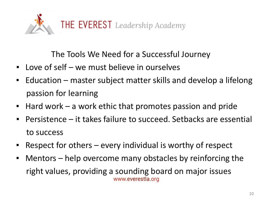

The Tools We Need for a Successful Journey

- Love of self we must believe in ourselves
- Education master subject matter skills and develop a lifelong passion for learning
- Hard work a work ethic that promotes passion and pride
- Persistence it takes failure to succeed. Setbacks are essential to success
- Respect for others every individual is worthy of respect
- Mentors help overcome many obstacles by reinforcing the right values, providing a sounding board on major issues www.everestla.org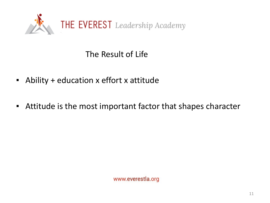

The Result of Life

- Ability + education x effort x attitude
- Attitude is the most important factor that shapes character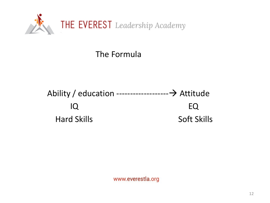

The Formula

Ability / education ------------------- Attitude IQ EQ Hard Skills **Soft Skills**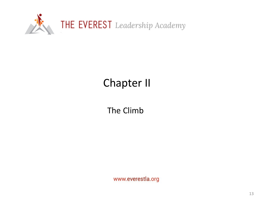

# Chapter II

The Climb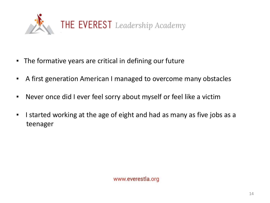

- The formative years are critical in defining our future
- **EXT A first generation American I managed to overcome many obstacles**
- Never once did I ever feel sorry about myself or feel like a victim
- I started working at the age of eight and had as many as five jobs as a teenager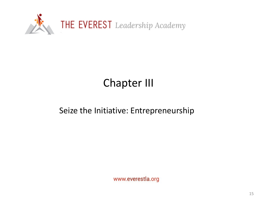

## Chapter III

#### Seize the Initiative: Entrepreneurship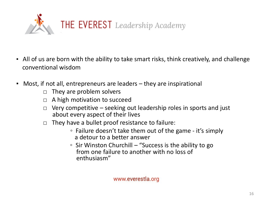

- All of us are born with the ability to take smart risks, think creatively, and challenge conventional wisdom
- Most, if not all, entrepreneurs are leaders they are inspirational
	- $\Box$  They are problem solvers
	- $\Box$  A high motivation to succeed
	- $\Box$  Very competitive seeking out leadership roles in sports and just about every aspect of their lives
	- $\Box$  They have a bullet proof resistance to failure:
		- Failure doesn't take them out of the game it's simply a detour to a better answer
		- Sir Winston Churchill "Success is the ability to go from one failure to another with no loss of enthusiasm"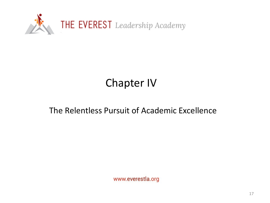

## Chapter IV

#### The Relentless Pursuit of Academic Excellence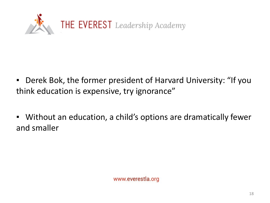

- Derek Bok, the former president of Harvard University: "If you think education is expensive, try ignorance"
- Without an education, a child's options are dramatically fewer and smaller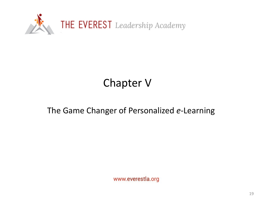

### Chapter V

#### The Game Changer of Personalized *e*-Learning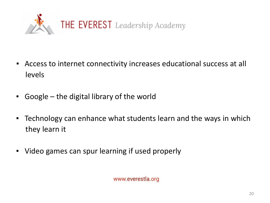

- Access to internet connectivity increases educational success at all levels
- Google the digital library of the world
- **EXTERNIME:** Technology can enhance what students learn and the ways in which they learn it
- Video games can spur learning if used properly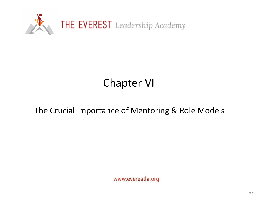

## Chapter VI

#### The Crucial Importance of Mentoring & Role Models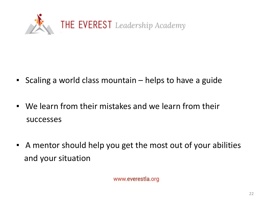

- Scaling a world class mountain helps to have a guide
- We learn from their mistakes and we learn from their successes
- A mentor should help you get the most out of your abilities and your situation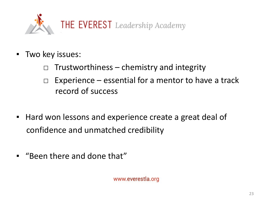

- Two key issues:
	- $\Box$  Trustworthiness chemistry and integrity
	- $\Box$  Experience essential for a mentor to have a track record of success
- Hard won lessons and experience create a great deal of confidence and unmatched credibility
- "Been there and done that"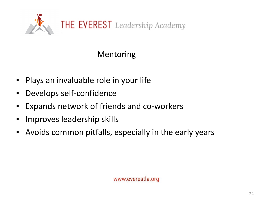

### Mentoring

- Plays an invaluable role in your life
- Develops self-confidence
- Expands network of friends and co-workers
- Improves leadership skills
- Avoids common pitfalls, especially in the early years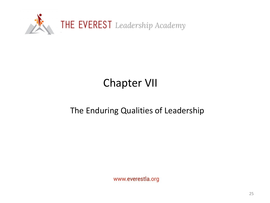

## Chapter VII

#### The Enduring Qualities of Leadership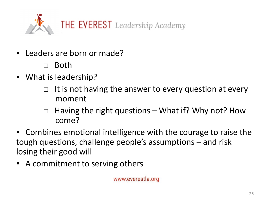

- Leaders are born or made?
	- □ Both
- What is leadership?
	- $\Box$  It is not having the answer to every question at every moment
	- $\Box$  Having the right questions What if? Why not? How come?
- Combines emotional intelligence with the courage to raise the tough questions, challenge people's assumptions – and risk losing their good will
- A commitment to serving others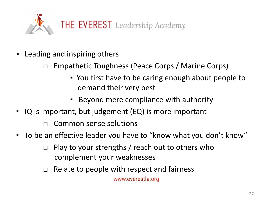

- Leading and inspiring others
	- □ Empathetic Toughness (Peace Corps / Marine Corps)
		- You first have to be caring enough about people to demand their very best
		- Beyond mere compliance with authority
- IQ is important, but judgement (EQ) is more important
	- $\Box$  Common sense solutions
- To be an effective leader you have to "know what you don't know"
	- $\Box$  Play to your strengths / reach out to others who complement your weaknesses
	- $\Box$  Relate to people with respect and fairness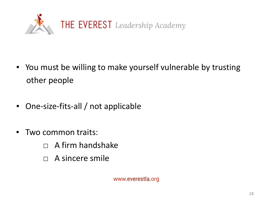

- You must be willing to make yourself vulnerable by trusting other people
- One-size-fits-all / not applicable
- Two common traits:
	- □ A firm handshake
	- □ A sincere smile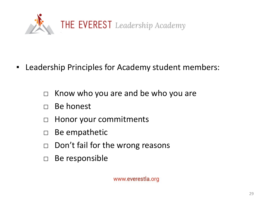

- Leadership Principles for Academy student members:
	- $\Box$  Know who you are and be who you are
	- □ Be honest
	- □ Honor your commitments
	- □ Be empathetic
	- $\Box$  Don't fail for the wrong reasons
	- □ Be responsible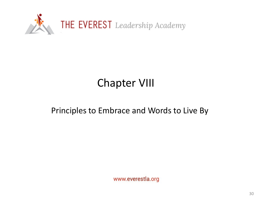

### Chapter VIII

#### Principles to Embrace and Words to Live By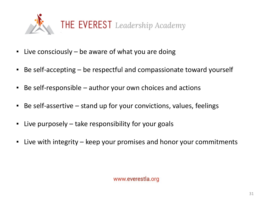

- **E** Live consciously be aware of what you are doing
- Be self-accepting be respectful and compassionate toward yourself
- $\blacksquare$  Be self-responsible  $-$  author your own choices and actions
- Be self-assertive stand up for your convictions, values, feelings
- Live purposely take responsibility for your goals
- Live with integrity keep your promises and honor your commitments